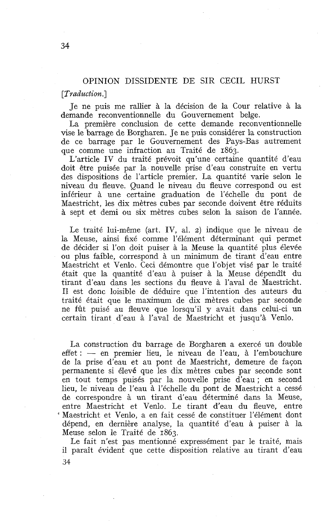## OPINION DISSIDENTE DE SIR CECIL HURST *[Traduction.]*

Je ne puis me rallier à la décision de la Cour relative à la demande reconventionnelle du Gouvernement belge.

La première conclusion de cette demande reconventionnelle vise le barrage de Borgharen. Je ne puis considérer la construction de ce barrage par le Gouvernement des Pays-Bas autrement que comme une infraction au Traité de 1863.

L'article IV du traité prévoit qu'une certaine quantité d'eau doit être puisée par la nouvelle prise d'eau construite en vertu des dispositions de l'article premier. La quantité varie selon le niveau du fleuve. Quand le niveau du fleuve correspond ou est inférieur à une certaine graduation de l'échelle du pont de Maestricht, les dix mètres cubes par seconde doivent être réduits à sept et demi ou six mètres cubes selon la saison de l'année.

Le traité lui-même (art. IV, al. *2)* indique que le niveau de la Meuse, ainsi fixé comme l'élément déterminant qui permet de décider si l'on doit puiser à la Meuse la quantité plus élevée ou plus faible, correspond à un minimum de tirant d'eau entre Maestricht et Venlo. Ceci démontre que l'objet visé par le traité était que la quantité d'eau à puiser à la Meuse dépendît du tirant d'eau dans les sections du fleuve à l'aval de Maestricht. Il est donc loisible de déduire que l'intention des auteurs du traité était que le maximum de dix mètres cubes par seconde ne fût puisé au fleuve que lorsqu'il y avait dans celui-ci un certain tirant d'eau à l'aval de Maestricht et jusqu'à Venlo.

La construction du barrage de Borgharen a exercé un double effet : - en premier lieu, le niveau de l'eau, à l'embouchure de la prise d'eau et au pont de Maestricht, demeure de façon permanente si élevé que les dix mètres cubes par seconde sont en tout temps puisés par la nouvelle prise d'eau ; en second lieu, le niveau de l'eau à l'échelle du pont de Maestricht a cessé de correspondre à un tirant d'eau déterminé dans la Meuse, entre Maestricht et Venlo. Le tirant d'eau du fleuve, entre Waestricht et Venlo, a en fait cessé de constituer l'élément dont dépend, en dernière analyse, la quantité d'eau à puiser à la Meuse selon le Traité de 1863.

Le fait n'est pas mentionné expressément par le traité, mais il paraît évident que cette disposition relative au tirant d'eau 34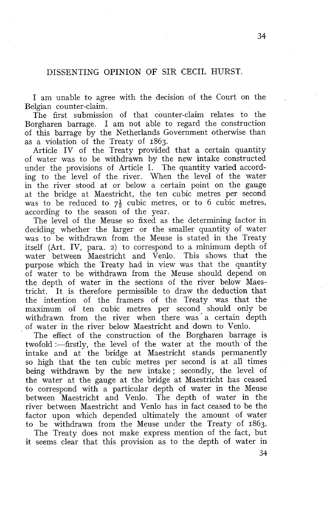## DISSENTING OPINION OF SIR CECIL HURST.

1 am unable to agree with the decision of the Court on the Belgian counter-claim.

The first submission of that counter-claim relates to the Borgharen barrage. 1 am not able to regard the construction of this barrage by the Netherlands Government otherwise than as a violation of the Treaty of 1863.

Article IV of the Treaty provided that a certain quantity of water was to be withdrawn by the new intake constructed under the provisions of Article 1. The quantity varied according to the level of the river. When the level of the water in the river stood at or below a certain point on the gauge at the bridge at Maestricht, the ten cubic metres per second was to be reduced to  $7\frac{1}{2}$  cubic metres, or to 6 cubic metres, according to the season of the year.

The level of the Meuse so fixed as the determining factor in deciding whether the larger or the smaller quantity of water was to be withdrawn from the Meuse is stated in the Treaty itself (Art. IV, para. 2) to correspond to a minimum depth of water between Maestricht and Venlo. This shows that the purpose which the Treaty had in view was that the quantity of water to be withdrawn from the Meuse should depend on the depth of water in the sections of the river below Maestricht. It is therefore permissible to draw the deduction that the intention of the framers of the Treaty was that the maximum of ten cubic metres per second should only be withdrawn from the river when there was a certain depth of water in the river below Maestricht and dom to Venlo.

The effect of the construction of the Borgharen barrage is twofold :—firstly, the level of the water at the mouth of the intake and at the bridge at Maestricht stands permanently so high that the ten cubic metres per second is at al1 times being withdrawn by the new intake ; secondly, the level of the water at the gauge at the bridge at Maestricht has ceased to correspond with a particular depth of water in the Meuse between Maestricht and Venlo. The depth of water in the river between Maestricht and Venlo has in fact ceased to be the factor upon which depended ultimately the amount of water to be withdrawn from the Meuse under the Treaty of 1863.

The Treaty does not make express mention of the fact, but it seems clear that this provision as to the depth of water in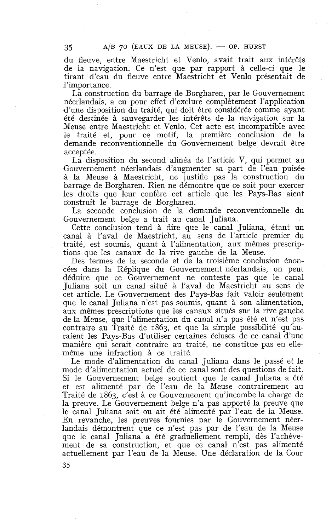du fleuve, entre Maestricht et Venlo, avait trait aux intérêts de la navigation. Ce n'est que par rapport à celle-ci que le tirant d'eau du fleuve entre Maestricht et Venlo présentait de l'importance.

La construction du barrage de Borgharen, par le Gouvernement néerlandais, a eu pour effet d'exclure complètement l'application d'une disposition du traité, qui doit être considérée comme ayant été destinée à sauvegarder les intérêts de la navigation sur la Meuse entre Maestricht et Venlo. Cet acte est incompatible avec le traité et, pour ce motif, la première conclusion de la demande reconventionnelle du Gouvernement belge devrait être acceptée.

La disposition du second alinéa de l'article V, qui permet au Gouvernement néerlandais d'augmenter sa part de l'eau puisée à la Meuse à Maestricht, ne justifie pas la construction du barrage de Borgharen. Rien ne démontre que ce soit pour exercer les droits que leur confère cet article que les Pays-Bas aient construit le barrage de Borgharen.

La seconde conclusion de la demande reconventionnelle du Gouvernement belge a trait au canal Juliana.

Cette conclusion tend à dire que le canal Juliana, étant un canal à l'aval de Maestricht, au sens de l'article premier du traité, est soumis, quant à l'alimentation, aux mêmes prescriptions que les canaux de la rive gauche de la Meuse.

Des termes de la seconde et de la troisième conclusion énoncées dans la Réplique du Gouvernement néerlandais, on peut déduire que ce Gouvernement ne conteste pas que le canal Juliana soit un canal situé à l'aval de Maestricht au sens de cet article. Le Gouvernement des Pays-Bas fait valoir seulement que le canal Juliana n'est pas soumis, quant à son alimentation, aux mêmes prescriptions que les canaux situés sur la rive gauche de la Meuse, que l'alimentation du canal n'a pas été et n'est pas contraire au Traité de 1863, et que la simple possibilité qu'auraient les Pays-Bas d'utiliser certaines écluses de ce canal d'une manière qui serait contraire au traité, ne constitue pas en ellemême une infraction à ce traité.

Le mode d'alimentation du canal Juliana dans le passé et le mode d'alimentation actuel de ce canal sont des questions de fait. Si le Gouvernement belge soutient que le canal Juliana a été et est alimenté par de l'eau de la Meuse contrairement au Traité de 1863, c'est à ce Gouvernement qu'incombe la charge de la preuve. Le Gouvernement belge n'a pas apporté la preuve que le canal Juliana soit ou ait été alimenté par l'eau de la Meuse. En revanche, les preuves fournies par le Gouvernement néerlandais démontrent que ce n'est pas par de l'eau de la Meuse que le canal Juliana a été graduellement rempli, dès l'achèvement de sa construction, et que ce canal n'est pas alimenté actuellement par l'eau de la Meuse. Une déclaration de la Cour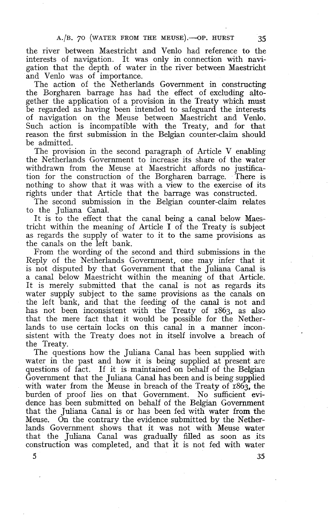the river between Maestricht and Venlo had reference to the interests of navigation. It was only in connection with navigation that the depth of water in the river between Maestncht and Venlo was of importance.

The action of the Netherlands Government in constructing the Borgharen barrage has had the effect of excluding altogether the application of a provision in the Treaty which must be regarded as having been intended to safeguard the interests of navigation on the Meuse between Maestricht and Venlo. Such action is incompatible with the Treaty, and for that reason the first submission in the Belgian counter-claim should be admitted.

The provision in the second paragraph of Article V enabling the Netherlands Government to increase its share of the water withdrawn from the Meuse at Maestricht affords no justification for the construction of the Borgharen barrage. There is nothing to show that it was with a view to the exercise of its rights under that Article that the barrage was constructed.

The second submission in the Belgian counter-claim relates to the Juliana Canal.

It is to the effect that the canal being a canal below Maestricht within the meaning of Article **1** of the Treaty is subject as regards the supply of water to it to the same provisions as the canals on the left bank.

From the wording of the second and third submissions in the Reply of the Netherlands Government, one may infer that it is not disputed by that Government that the Juliana Canal is a canal below Maestricht within the meaning of that Article. It is merely submitted that the canal is not as regards its water supply subject to the same provisions as the canals on the left bank, and that the feeding of the canal is not and has not been inconsistent with the Treaty of **1863,** as also that the mere fact that it would be possible for the Netherlands to use certain locks on this canal in a manner inconsistent with the Treaty does not in itself involve a breach of the Treaty.

The questions how the Juliana Canal has been supplied with water in the past and how it is being supplied at present are questions of fact. If it is maintained on behalf of the Belgian Government that the Juliana Canal has been and is being supplied with water from the Meuse in breach of the Treaty of **1863,** the burden of proof lies on that Government. No sufficient evidence has been submitted on behalf of the Belgian Government that the Juliana Canal is or has been fed with water from the Meuse. On the contrary the evidence submitted by the Netherlands Government shows that it was not with Meuse water that the Juliana Canal was gradually filled as soon as its construction was completed, and that it is not fed with water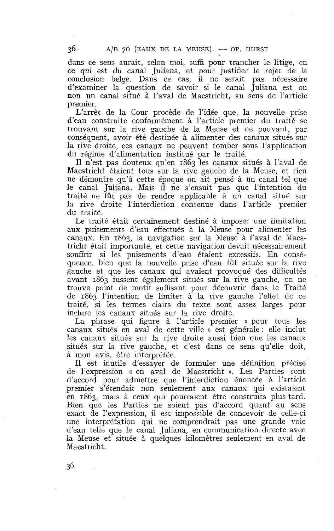dans ce sens aurait, selon moi, suffi pour trancher le litige, en ce qui est du canal Juliana, et pour justifier le rejet de la conclusion belge. Dans ce cas, il ne serait pas nécessaire d'examiner la question de savoir si le canal Juliana est ou non un canal situé à l'aval de Maestricht, au sens de l'article premier.

L'arrêt de la Cour procède de l'idée que, la nouvelle prise d'eau construite conformément à l'article premier du traité se trouvant sur la rive gauche de la Meuse et ne pouvant, par conséquent, avoir été destinée à alimenter des canaux situés sur la rive droite, ces canaux ne peuvent tomber sous l'application du régime d'alimentation institué par le traité.

Il n'est pas douteux qu'en 1863 les canaux situés à l'aval de Maestricht étaient tous sur la rive gauche de la Meuse, et rien ne démontre qu'à cette époque on ait pensé à un canal tel que le canal Juliana. Mais il ne s'ensuit pas que l'intention du traité ne fût pas de rendre applicable à un canal situé sur la rive droite l'interdiction contenue dans l'article premier du traité.

Le traité était certainement destiné à imposer une limitation aux puisements d'eau effectués à la Meuse pour alimenter les canaux. En 1863, la navigation sur la Meuse à l'aval de Maestricht était importante, et cette navigation devait nécessairement souffrir si les puisements d'eau étaient excessifs. En conséquence, bien que la nouvelle prise d'eau fût située sur la rive gauche et que les canaux qui avaient provoqué des difficultés avant 1863 fussent également situés sur la rive gauche, on ne trouve point de motif suffisant pour découvrir dans le Traité de 1863 l'intention de limiter à la rive gauche l'effet de ce traité, si les termes clairs du texte sont assez larges pour inclure les canaux situés sur la rive droite.

La phrase qui figure à l'article premier « pour tous les canaux situés en aval de cette ville » est générale : elle inclut les canaux situés sur la rive droite aussi bien que les canaux situés sur la rive gauche, et c'est dans ce sens qu'elle doit, à mon avis, être interprétée.

11 est inutile d'essayer de formuler une définition précise de l'expression « en aval de Maestricht ». Les Parties sont d'accord pour admettre que l'interdiction énoncée à l'article premier s'étendait non seulement aux canaux qui existaient en 1863, mais à ceux qui pourraient être construits plus tard. Bien que les Parties ne soient pas d'accord quant au sens exact de l'expression, il est impossible de concevoir de celle-ci une interprétation qui ne comprendrait pas une grande voie d'eau telle que le canal Juliana, en communication directe avec la Meuse et située à quelques kilomètres seulement en aval de Maestricht.

 $36 -$ 

-36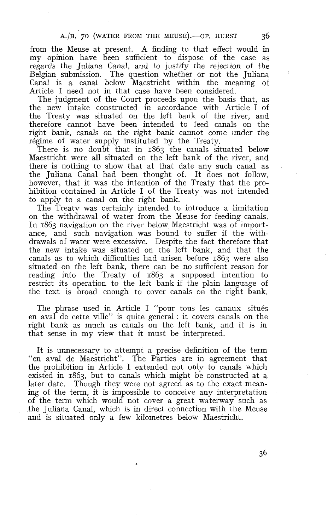from the Meuse at present. A finding to that effect would in my opinion have been sufficient to dispose of the case as regards the Juliana Canal, and to justify the rejection of the Belgian submission. The question whether or not the Juliana Canal is a canal below Maestricht within the meaning of Article 1 need not in that case have been considered.

The judgment of the Court proceeds upon the basis that, as the new intake constructed in accordance with Article 1 of the Treaty was situated on the left bank of the river, and therefore cannot have been intended to feed canals on the right bank, canals on the right bank cannot come under the régime of water supply instituted by the Treaty.

There is no doubt that in 1863 the canals situated below Maestricht were al1 situated on the left bank of the river, and there is nothing to show that at that date any such canal as the Juliana Canal had been thought of. It does not follow, however, that it was the intention of the Treaty that the prohibition contained in Article 1 of the Treaty was not intended to apply to a canal on the right bank.

The Treaty was certainly intended to introduce a limitation on the withdrawal of water from the Meuse for feeding canals. In 1863 navigation on the river below Maestricht was of importance, and such navigation was bound to suffer if the withdrawals of water were excessive. Despite the fact therefore that the new intake was situated on the left bank, and that the canals as to which difficulties had arisen before 1863 were also situated on the left bank, there can be no sufficient reason for reading into the Treaty of 1863 a supposed intention to restrict its operation to the left bank if the plain language of the text is broad enough to cover canals on the right bank.

The phrase used in Article 1 "pour tous les canaux situés en aval de cette ville" is quite general : it covers canals on the right bank as much as canals on the left bank, and it is in that sense in my view that it must be interpreted.

It is unnecessary to attempt a precise definition of the term "en aval de Maestricht". The Parties are in agreement that the prohibition in Article 1 extended not only to canals which existed in 1863, but to canals which might be constructed at a later date. Though they were not agreed as to the exact meaning of the term, it is impossible to conceive any interpretation of the term which would not cover a great waterway such as the Juliana Canal, which is in direct connection with the Meuse and is situated only a few kilometres below Maestricht.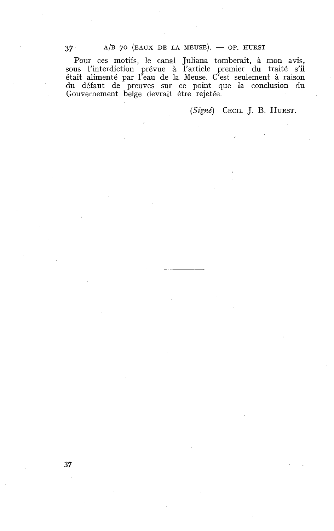Pour ces motifs, le canal Juliana tomberait, à mon avis, sous l'interdiction prévue à l'article premier du traité s'il était alimenté par l'eau de la Meuse. C'est seulement à raison du défaut de preuves sur ce point que la conclusion du Gouvernement belge devrait être rejetée.

**(Signé)** CECIL J. B. HURST.